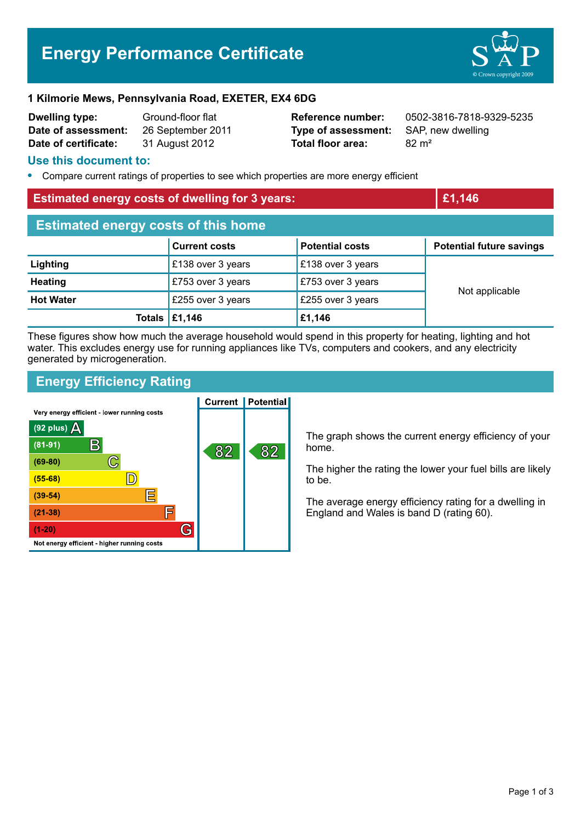# **Energy Performance Certificate**



#### **1 Kilmorie Mews, Pennsylvania Road, EXETER, EX4 6DG**

| <b>Dwelling type:</b> | Ground-floor flat |
|-----------------------|-------------------|
| Date of assessment:   | 26 September 201  |
| Date of certificate:  | 31 August 2012    |

1 **Data Company 2012 Type of assessment:** SAP, new dwelling **Total floor area:** 82 m<sup>2</sup>

**Reference number:** 0502-3816-7818-9329-5235

### **Use this document to:**

**•** Compare current ratings of properties to see which properties are more energy efficient

| <b>Estimated energy costs of dwelling for 3 years:</b> |                                       | £1,146                 |                                 |  |
|--------------------------------------------------------|---------------------------------------|------------------------|---------------------------------|--|
| <b>Estimated energy costs of this home</b>             |                                       |                        |                                 |  |
|                                                        | <b>Current costs</b>                  | <b>Potential costs</b> | <b>Potential future savings</b> |  |
| Lighting                                               | £138 over 3 years                     | £138 over 3 years      |                                 |  |
| <b>Heating</b>                                         | £753 over 3 years                     | £753 over 3 years      | Not applicable                  |  |
| <b>Hot Water</b>                                       | £255 over 3 years                     | £255 over 3 years      |                                 |  |
|                                                        | Totals $\left  \pounds 1,146 \right $ | £1,146                 |                                 |  |

These figures show how much the average household would spend in this property for heating, lighting and hot water. This excludes energy use for running appliances like TVs, computers and cookers, and any electricity generated by microgeneration.

## **Energy Efficiency Rating**

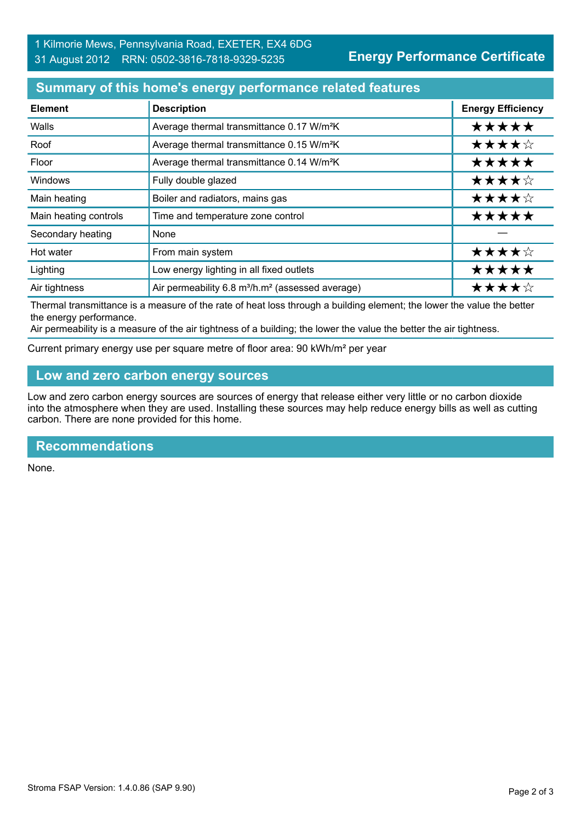## **Summary of this home's energy performance related features**

| <b>Element</b>        | <b>Description</b>                                                       | <b>Energy Efficiency</b> |
|-----------------------|--------------------------------------------------------------------------|--------------------------|
| Walls                 | Average thermal transmittance 0.17 W/m <sup>2</sup> K                    | *****                    |
| Roof                  | Average thermal transmittance 0.15 W/m <sup>2</sup> K                    | ★★★★☆                    |
| Floor                 | Average thermal transmittance 0.14 W/m <sup>2</sup> K                    | *****                    |
| Windows               | Fully double glazed                                                      | ★★★★☆                    |
| Main heating          | Boiler and radiators, mains gas                                          | ★★★★☆                    |
| Main heating controls | Time and temperature zone control                                        | *****                    |
| Secondary heating     | None                                                                     |                          |
| Hot water             | From main system                                                         | ★★★★☆                    |
| Lighting              | Low energy lighting in all fixed outlets                                 | *****                    |
| Air tightness         | Air permeability 6.8 m <sup>3</sup> /h.m <sup>2</sup> (assessed average) | ★★★★☆                    |

Thermal transmittance is a measure of the rate of heat loss through a building element; the lower the value the better the energy performance.

Air permeability is a measure of the air tightness of a building; the lower the value the better the air tightness.

Current primary energy use per square metre of floor area: 90 kWh/m² per year

## **Low and zero carbon energy sources**

Low and zero carbon energy sources are sources of energy that release either very little or no carbon dioxide into the atmosphere when they are used. Installing these sources may help reduce energy bills as well as cutting carbon. There are none provided for this home.

#### **Recommendations**

None.